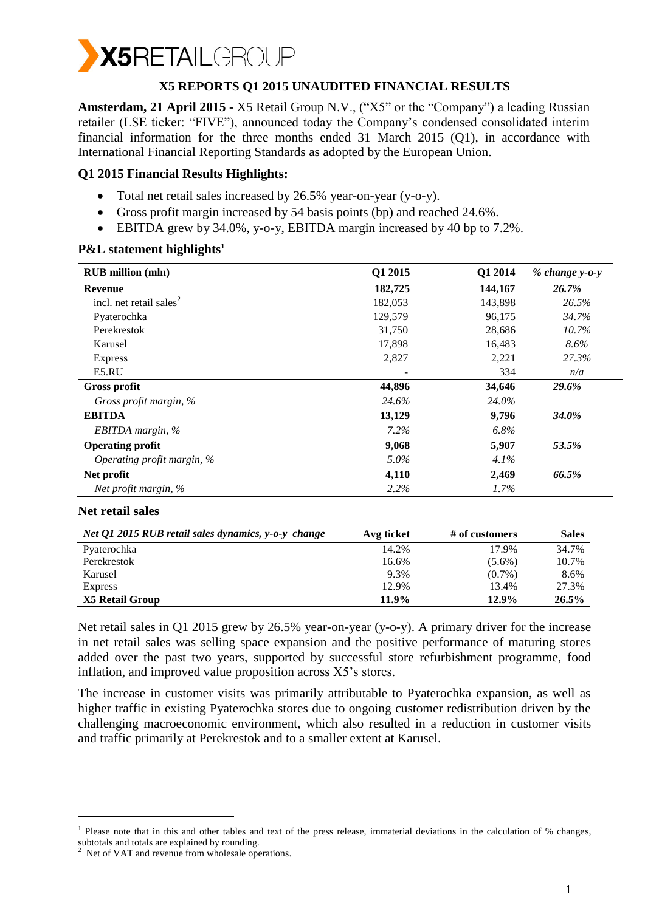

### **X5 REPORTS Q1 2015 UNAUDITED FINANCIAL RESULTS**

**Amsterdam, 21 April 2015 -** X5 Retail Group N.V., ("X5" or the "Company") a leading Russian retailer (LSE ticker: "FIVE"), announced today the Company's condensed consolidated interim financial information for the three months ended 31 March 2015 (Q1), in accordance with International Financial Reporting Standards as adopted by the European Union.

### **Q1 2015 Financial Results Highlights:**

- Total net retail sales increased by 26.5% year-on-year (y-o-y).
- Gross profit margin increased by 54 basis points (bp) and reached 24.6%.
- EBITDA grew by 34.0%, y-o-y, EBITDA margin increased by 40 bp to 7.2%.

### **P&L statement highlights<sup>1</sup>**

| <b>RUB</b> million (mln)            | Q1 2015 | Q1 2014 | $% change v-o-v$ |
|-------------------------------------|---------|---------|------------------|
| Revenue                             | 182,725 | 144,167 | 26.7%            |
| incl. net retail sales <sup>2</sup> | 182,053 | 143,898 | 26.5%            |
| Pyaterochka                         | 129,579 | 96,175  | 34.7%            |
| Perekrestok                         | 31,750  | 28,686  | 10.7%            |
| Karusel                             | 17,898  | 16,483  | $8.6\%$          |
| <b>Express</b>                      | 2,827   | 2,221   | 27.3%            |
| E5.RU                               |         | 334     | n/a              |
| <b>Gross profit</b>                 | 44,896  | 34,646  | 29.6%            |
| Gross profit margin, %              | 24.6%   | 24.0%   |                  |
| <b>EBITDA</b>                       | 13,129  | 9,796   | 34.0%            |
| EBITDA margin, %                    | 7.2%    | 6.8%    |                  |
| <b>Operating profit</b>             | 9,068   | 5,907   | 53.5%            |
| Operating profit margin, %          | 5.0%    | 4.1%    |                  |
| Net profit                          | 4,110   | 2,469   | 66.5%            |
| Net profit margin, %                | 2.2%    | $1.7\%$ |                  |

### **Net retail sales**

-

| Net Q1 2015 RUB retail sales dynamics, y-o-y change | Avg ticket | # of customers | <b>Sales</b> |
|-----------------------------------------------------|------------|----------------|--------------|
| Pyaterochka                                         | 14.2%      | 17.9%          | 34.7%        |
| Perekrestok                                         | 16.6%      | $(5.6\%)$      | 10.7%        |
| Karusel                                             | 9.3%       | $(0.7\%)$      | 8.6%         |
| <b>Express</b>                                      | 12.9%      | 13.4%          | 27.3%        |
| X5 Retail Group                                     | 11.9%      | 12.9%          | $26.5\%$     |

Net retail sales in Q1 2015 grew by 26.5% year-on-year (y-o-y). A primary driver for the increase in net retail sales was selling space expansion and the positive performance of maturing stores added over the past two years, supported by successful store refurbishment programme, food inflation, and improved value proposition across X5's stores.

The increase in customer visits was primarily attributable to Pyaterochka expansion, as well as higher traffic in existing Pyaterochka stores due to ongoing customer redistribution driven by the challenging macroeconomic environment, which also resulted in a reduction in customer visits and traffic primarily at Perekrestok and to a smaller extent at Karusel.

<sup>1</sup> Please note that in this and other tables and text of the press release, immaterial deviations in the calculation of % changes, subtotals and totals are explained by rounding.

 $2$  Net of VAT and revenue from wholesale operations.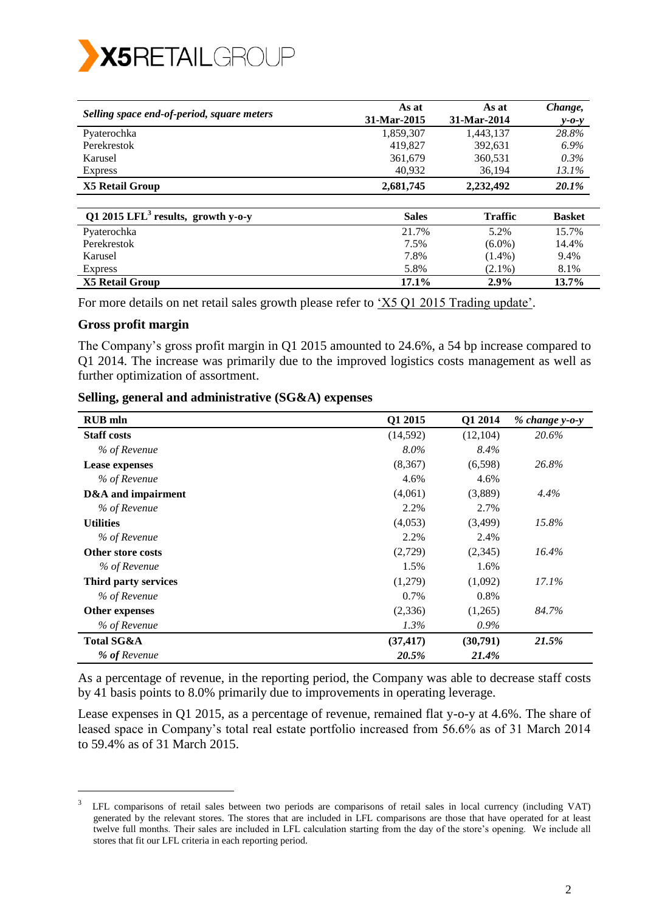

| Selling space end-of-period, square meters     | As at<br>31-Mar-2015 | As at<br>31-Mar-2014 | Change,<br>$y - 0 - y$ |
|------------------------------------------------|----------------------|----------------------|------------------------|
| Pyaterochka                                    | 1,859,307            | 1,443,137            | 28.8%                  |
| Perekrestok                                    | 419.827              | 392,631              | $6.9\%$                |
| Karusel                                        | 361.679              | 360,531              | $0.3\%$                |
| <b>Express</b>                                 | 40,932               | 36,194               | 13.1%                  |
| X5 Retail Group                                | 2,681,745            | 2,232,492            | 20.1%                  |
| Q1 2015 LFL <sup>3</sup> results, growth y-o-y | <b>Sales</b>         | <b>Traffic</b>       | <b>Basket</b>          |
| Pyaterochka                                    | 21.7%                | 5.2%                 | 15.7%                  |
| Perekrestok                                    | 7.5%                 | $(6.0\%)$            | 14.4%                  |
| Karusel                                        | 7.8%                 | $(1.4\%)$            | 9.4%                   |

Express  $5.8\%$   $(2.1\%)$   $8.1\%$ **X5 Retail Group 17.1% 2.9% 13.7%**

For more details on net retail sales growth please refer to ['X5 Q1 2015 Trading update'.](http://www.x5.ru/common/img/uploaded/files/press_releases/2015/Q1_2015_Trading_Update_ENG.pdf)

### **Gross profit margin**

-

The Company's gross profit margin in Q1 2015 amounted to 24.6%, a 54 bp increase compared to Q1 2014. The increase was primarily due to the improved logistics costs management as well as further optimization of assortment.

| <b>RUB</b> mln        | Q1 2015   | Q1 2014   | $% change y-o-y$ |
|-----------------------|-----------|-----------|------------------|
| <b>Staff costs</b>    | (14,592)  | (12, 104) | 20.6%            |
| % of Revenue          | $8.0\%$   | 8.4%      |                  |
| <b>Lease expenses</b> | (8,367)   | (6,598)   | 26.8%            |
| % of Revenue          | 4.6%      | 4.6%      |                  |
| D&A and impairment    | (4,061)   | (3,889)   | 4.4%             |
| % of Revenue          | 2.2%      | 2.7%      |                  |
| <b>Utilities</b>      | (4,053)   | (3,499)   | 15.8%            |
| % of Revenue          | 2.2%      | 2.4%      |                  |
| Other store costs     | (2,729)   | (2,345)   | 16.4%            |
| % of Revenue          | 1.5%      | 1.6%      |                  |
| Third party services  | (1,279)   | (1,092)   | $17.1\%$         |
| % of Revenue          | 0.7%      | 0.8%      |                  |
| <b>Other expenses</b> | (2,336)   | (1,265)   | 84.7%            |
| % of Revenue          | $1.3\%$   | $0.9\%$   |                  |
| <b>Total SG&amp;A</b> | (37, 417) | (30,791)  | 21.5%            |
| % of Revenue          | 20.5%     | 21.4%     |                  |

**Selling, general and administrative (SG&A) expenses** 

As a percentage of revenue, in the reporting period, the Company was able to decrease staff costs by 41 basis points to 8.0% primarily due to improvements in operating leverage.

Lease expenses in Q1 2015, as a percentage of revenue, remained flat y-o-y at 4.6%. The share of leased space in Company's total real estate portfolio increased from 56.6% as of 31 March 2014 to 59.4% as of 31 March 2015.

<sup>3</sup> LFL comparisons of retail sales between two periods are comparisons of retail sales in local currency (including VAT) generated by the relevant stores. The stores that are included in LFL comparisons are those that have operated for at least twelve full months. Their sales are included in LFL calculation starting from the day of the store's opening. We include all stores that fit our LFL criteria in each reporting period.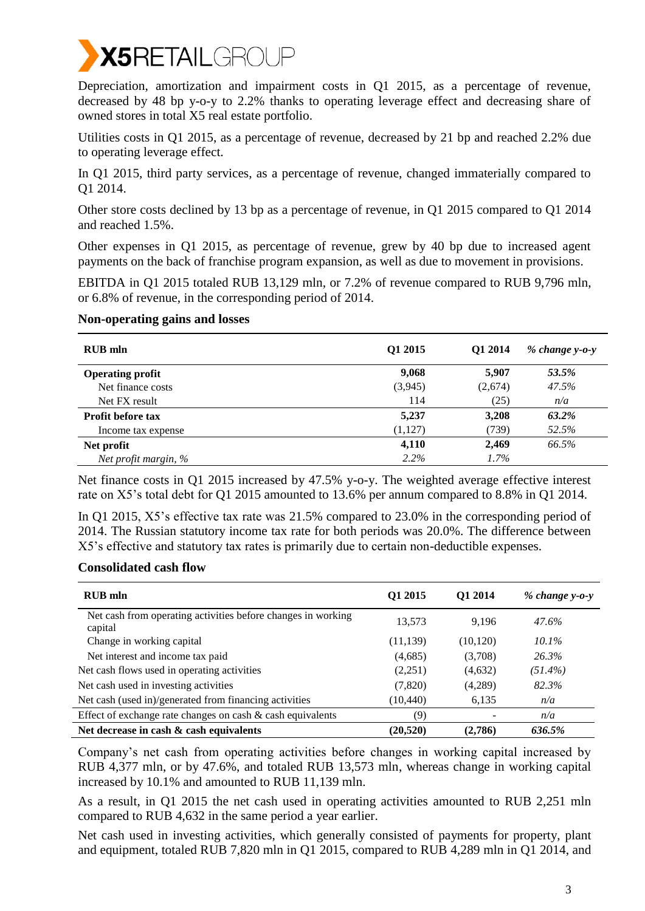

Depreciation, amortization and impairment costs in Q1 2015, as a percentage of revenue, decreased by 48 bp y-o-y to 2.2% thanks to operating leverage effect and decreasing share of owned stores in total X5 real estate portfolio.

Utilities costs in Q1 2015, as a percentage of revenue, decreased by 21 bp and reached 2.2% due to operating leverage effect.

In Q1 2015, third party services, as a percentage of revenue, changed immaterially compared to Q1 2014.

Other store costs declined by 13 bp as a percentage of revenue, in Q1 2015 compared to Q1 2014 and reached 1.5%.

Other expenses in Q1 2015, as percentage of revenue, grew by 40 bp due to increased agent payments on the back of franchise program expansion, as well as due to movement in provisions.

EBITDA in Q1 2015 totaled RUB 13,129 mln, or 7.2% of revenue compared to RUB 9,796 mln, or 6.8% of revenue, in the corresponding period of 2014.

### **Non-operating gains and losses**

| <b>RUB</b> mln           | Q1 2015 | Q1 2014 | $% change y-o-y$ |
|--------------------------|---------|---------|------------------|
| <b>Operating profit</b>  | 9,068   | 5,907   | 53.5%            |
| Net finance costs        | (3,945) | (2,674) | 47.5%            |
| Net FX result            | 114     | (25)    | n/a              |
| <b>Profit before tax</b> | 5,237   | 3,208   | 63.2%            |
| Income tax expense       | (1,127) | (739)   | 52.5%            |
| Net profit               | 4,110   | 2,469   | 66.5%            |
| Net profit margin, %     | $2.2\%$ | $1.7\%$ |                  |

Net finance costs in Q1 2015 increased by 47.5% y-o-y. The weighted average effective interest rate on X5's total debt for Q1 2015 amounted to 13.6% per annum compared to 8.8% in Q1 2014.

In Q1 2015, X5's effective tax rate was 21.5% compared to 23.0% in the corresponding period of 2014. The Russian statutory income tax rate for both periods was 20.0%. The difference between X5's effective and statutory tax rates is primarily due to certain non-deductible expenses.

### **Consolidated cash flow**

| <b>RUB</b> mln                                                          | Q1 2015   | O1 2014   | $% change v-o-v$ |
|-------------------------------------------------------------------------|-----------|-----------|------------------|
| Net cash from operating activities before changes in working<br>capital | 13,573    | 9,196     | 47.6%            |
| Change in working capital                                               | (11, 139) | (10, 120) | $10.1\%$         |
| Net interest and income tax paid                                        | (4,685)   | (3,708)   | 26.3%            |
| Net cash flows used in operating activities                             | (2,251)   | (4,632)   | $(51.4\%)$       |
| Net cash used in investing activities                                   | (7,820)   | (4,289)   | 82.3%            |
| Net cash (used in)/generated from financing activities                  | (10, 440) | 6,135     | n/a              |
| Effect of exchange rate changes on cash $\&$ cash equivalents           | (9)       |           | n/a              |
| Net decrease in cash $\&$ cash equivalents                              | (20, 520) | (2,786)   | 636.5%           |

Company's net cash from operating activities before changes in working capital increased by RUB 4,377 mln, or by 47.6%, and totaled RUB 13,573 mln, whereas change in working capital increased by 10.1% and amounted to RUB 11,139 mln.

As a result, in Q1 2015 the net cash used in operating activities amounted to RUB 2,251 mln compared to RUB 4,632 in the same period a year earlier.

Net cash used in investing activities, which generally consisted of payments for property, plant and equipment, totaled RUB 7,820 mln in Q1 2015, compared to RUB 4,289 mln in Q1 2014, and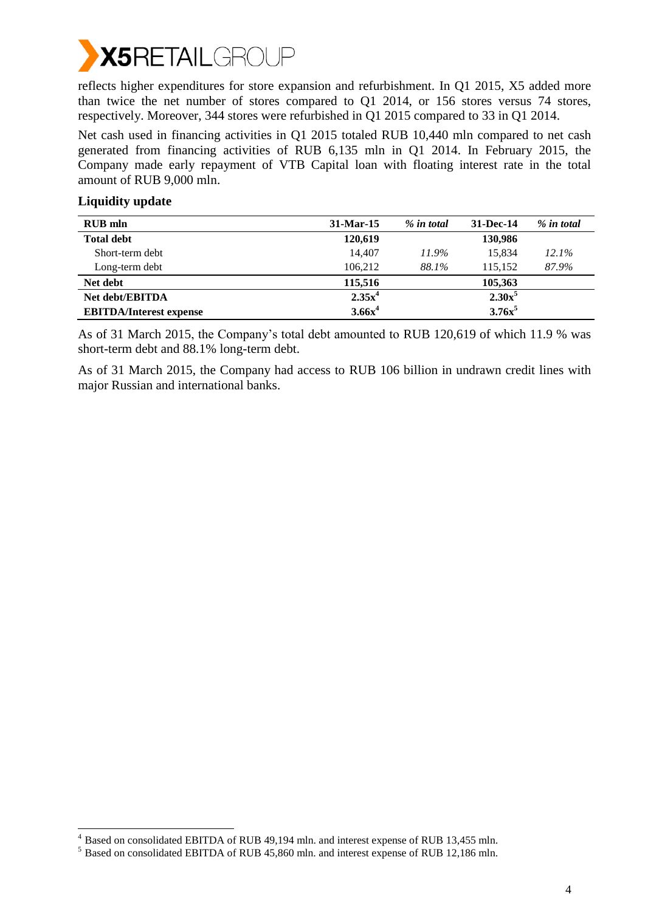

reflects higher expenditures for store expansion and refurbishment. In Q1 2015, X5 added more than twice the net number of stores compared to Q1 2014, or 156 stores versus 74 stores, respectively. Moreover, 344 stores were refurbished in Q1 2015 compared to 33 in Q1 2014.

Net cash used in financing activities in Q1 2015 totaled RUB 10,440 mln compared to net cash generated from financing activities of RUB 6,135 mln in Q1 2014. In February 2015, the Company made early repayment of VTB Capital loan with floating interest rate in the total amount of RUB 9,000 mln.

| <b>Liquidity update</b> |
|-------------------------|
|-------------------------|

-

| <b>RUB</b> mln                 | 31-Mar-15 | % in total | 31-Dec-14 | % in total |
|--------------------------------|-----------|------------|-----------|------------|
| <b>Total debt</b>              | 120,619   |            | 130,986   |            |
| Short-term debt                | 14.407    | 11.9%      | 15.834    | $12.1\%$   |
| Long-term debt                 | 106.212   | 88.1%      | 115.152   | 87.9%      |
| Net debt                       | 115,516   |            | 105,363   |            |
| <b>Net debt/EBITDA</b>         | $2.35x^4$ |            | $2.30x^5$ |            |
| <b>EBITDA/Interest expense</b> | $3.66x^4$ |            | $3.76x^5$ |            |

As of 31 March 2015, the Company's total debt amounted to RUB 120,619 of which 11.9 % was short-term debt and 88.1% long-term debt.

As of 31 March 2015, the Company had access to RUB 106 billion in undrawn credit lines with major Russian and international banks.

<sup>&</sup>lt;sup>4</sup> Based on consolidated EBITDA of RUB 49,194 mln. and interest expense of RUB 13,455 mln.

<sup>5</sup> Based on consolidated EBITDA of RUB 45,860 mln. and interest expense of RUB 12,186 mln.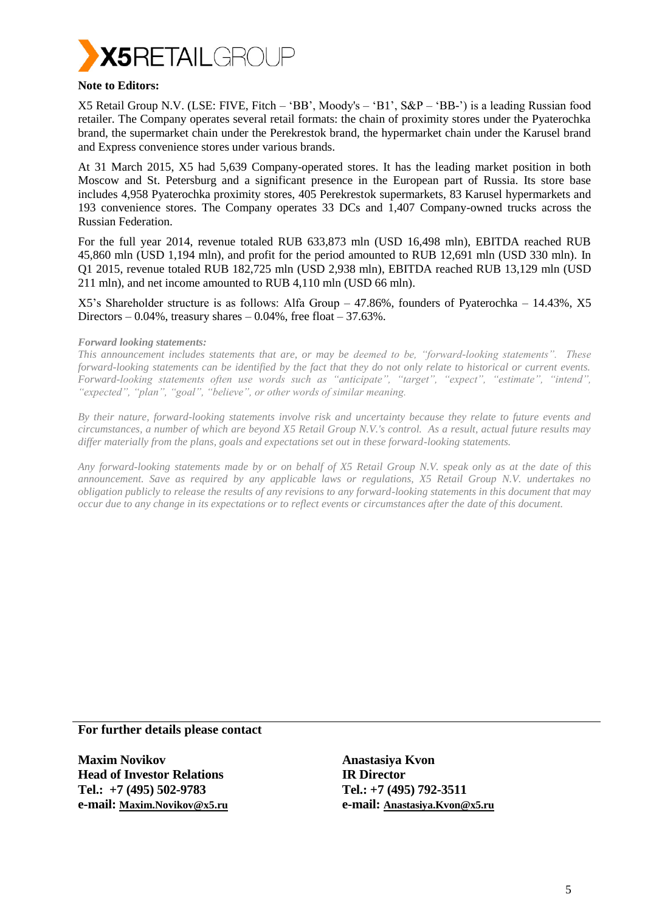

#### **Note to Editors:**

X5 Retail Group N.V. (LSE: FIVE, Fitch – 'BB', Moody's – 'B1', S&P – 'BB-') is a leading Russian food retailer. The Company operates several retail formats: the chain of proximity stores under the Pyaterochka brand, the supermarket chain under the Perekrestok brand, the hypermarket chain under the Karusel brand and Express convenience stores under various brands.

At 31 March 2015, X5 had 5,639 Company-operated stores. It has the leading market position in both Moscow and St. Petersburg and a significant presence in the European part of Russia. Its store base includes 4,958 Pyaterochka proximity stores, 405 Perekrestok supermarkets, 83 Karusel hypermarkets and 193 convenience stores. The Company operates 33 DCs and 1,407 Company-owned trucks across the Russian Federation.

For the full year 2014, revenue totaled RUB 633,873 mln (USD 16,498 mln), EBITDA reached RUB 45,860 mln (USD 1,194 mln), and profit for the period amounted to RUB 12,691 mln (USD 330 mln). In Q1 2015, revenue totaled RUB 182,725 mln (USD 2,938 mln), EBITDA reached RUB 13,129 mln (USD 211 mln), and net income amounted to RUB 4,110 mln (USD 66 mln).

X5's Shareholder structure is as follows: Alfa Group – 47.86%, founders of Pyaterochka – 14.43%, X5 Directors – 0.04%, treasury shares – 0.04%, free float –  $37.63\%$ .

#### *Forward looking statements:*

*This announcement includes statements that are, or may be deemed to be, "forward-looking statements". These forward-looking statements can be identified by the fact that they do not only relate to historical or current events. Forward-looking statements often use words such as "anticipate", "target", "expect", "estimate", "intend", "expected", "plan", "goal", "believe", or other words of similar meaning.*

*By their nature, forward-looking statements involve risk and uncertainty because they relate to future events and circumstances, a number of which are beyond X5 Retail Group N.V.'s control. As a result, actual future results may differ materially from the plans, goals and expectations set out in these forward-looking statements.* 

*Any forward-looking statements made by or on behalf of X5 Retail Group N.V. speak only as at the date of this announcement. Save as required by any applicable laws or regulations, X5 Retail Group N.V. undertakes no obligation publicly to release the results of any revisions to any forward-looking statements in this document that may occur due to any change in its expectations or to reflect events or circumstances after the date of this document.*

### **For further details please contact**

**Maxim Novikov Head of Investor Relations Tel.: +7 (495) 502-9783 e-mail: [Maxim.Novikov@x5.ru](mailto:Maxim.Novikov@x5.ru)** **Anastasiya Kvon IR Director Tel.: +7 (495) 792-3511 e-mail: [Anastasiya.Kvon@x5.ru](mailto:Anastasiya.Kvon@x5.ru)**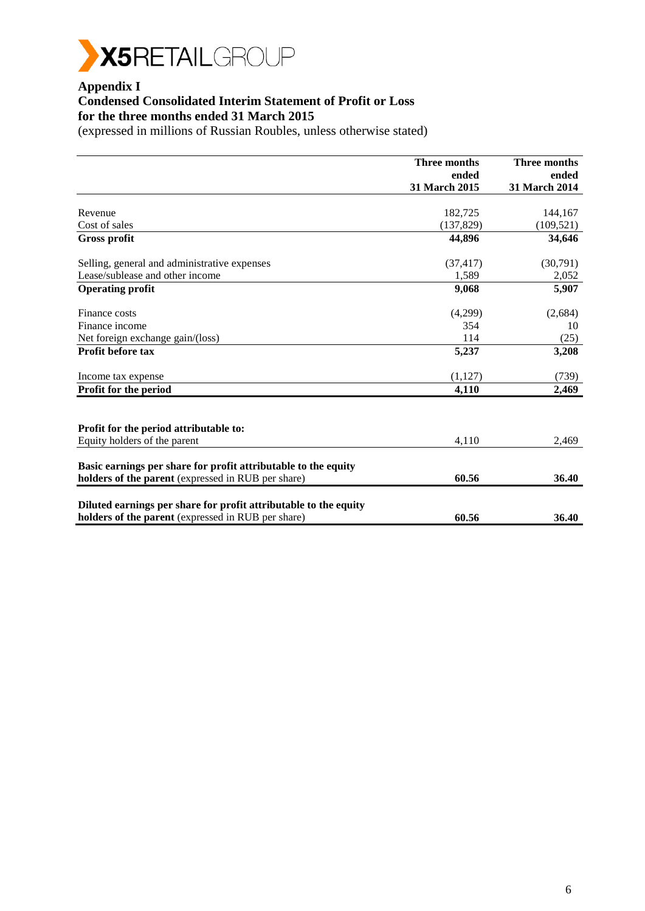

# **Appendix I**

# **Condensed Consolidated Interim Statement of Profit or Loss for the three months ended 31 March 2015**

|                                                                  | Three months  | Three months  |
|------------------------------------------------------------------|---------------|---------------|
|                                                                  | ended         | ended         |
|                                                                  | 31 March 2015 | 31 March 2014 |
|                                                                  |               |               |
| Revenue                                                          | 182,725       | 144,167       |
| Cost of sales                                                    | (137,829)     | (109, 521)    |
| Gross profit                                                     | 44,896        | 34,646        |
| Selling, general and administrative expenses                     | (37, 417)     | (30,791)      |
| Lease/sublease and other income                                  | 1,589         | 2,052         |
| <b>Operating profit</b>                                          | 9,068         | 5,907         |
| Finance costs                                                    | (4,299)       | (2,684)       |
| Finance income                                                   | 354           | 10            |
| Net foreign exchange gain/(loss)                                 | 114           | (25)          |
| <b>Profit before tax</b>                                         | 5,237         | 3,208         |
| Income tax expense                                               | (1,127)       | (739)         |
| Profit for the period                                            | 4,110         | 2,469         |
|                                                                  |               |               |
| Profit for the period attributable to:                           |               |               |
| Equity holders of the parent                                     | 4.110         | 2,469         |
| Basic earnings per share for profit attributable to the equity   |               |               |
| holders of the parent (expressed in RUB per share)               | 60.56         | 36.40         |
| Diluted earnings per share for profit attributable to the equity |               |               |
| holders of the parent (expressed in RUB per share)               | 60.56         | 36.40         |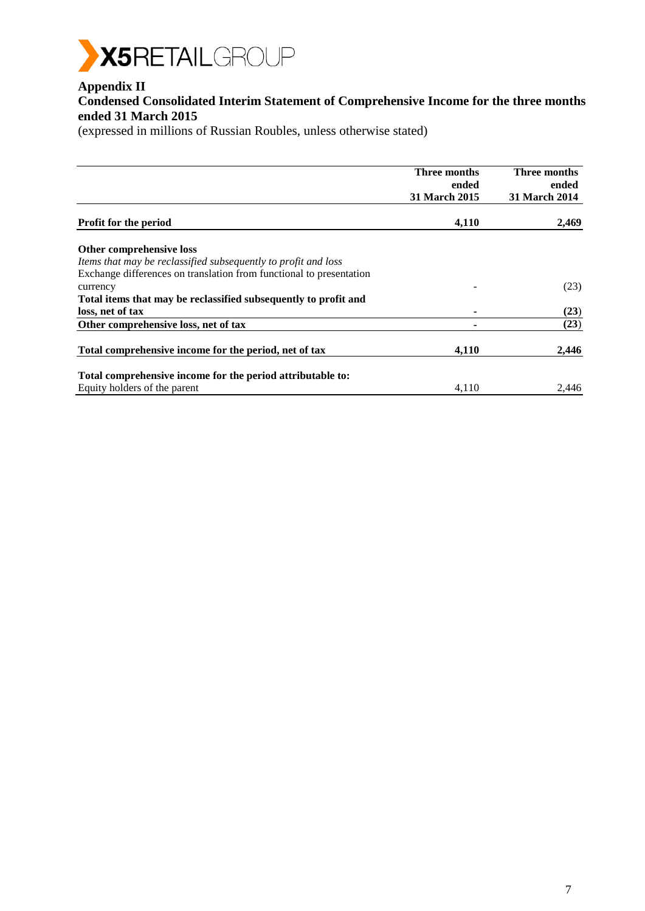

# **Appendix II**

### **Condensed Consolidated Interim Statement of Comprehensive Income for the three months ended 31 March 2015**

|                                                                     | Three months         | <b>Three months</b>  |
|---------------------------------------------------------------------|----------------------|----------------------|
|                                                                     | ended                | ended                |
|                                                                     | <b>31 March 2015</b> | <b>31 March 2014</b> |
| Profit for the period                                               | 4,110                | 2,469                |
| Other comprehensive loss                                            |                      |                      |
| Items that may be reclassified subsequently to profit and loss      |                      |                      |
| Exchange differences on translation from functional to presentation |                      |                      |
| currency                                                            |                      | (23)                 |
| Total items that may be reclassified subsequently to profit and     |                      |                      |
| loss, net of tax                                                    |                      | (23)                 |
| Other comprehensive loss, net of tax                                |                      | (23)                 |
| Total comprehensive income for the period, net of tax               | 4,110                | 2,446                |
|                                                                     |                      |                      |
| Total comprehensive income for the period attributable to:          |                      |                      |
| Equity holders of the parent                                        | 4,110                | 2,446                |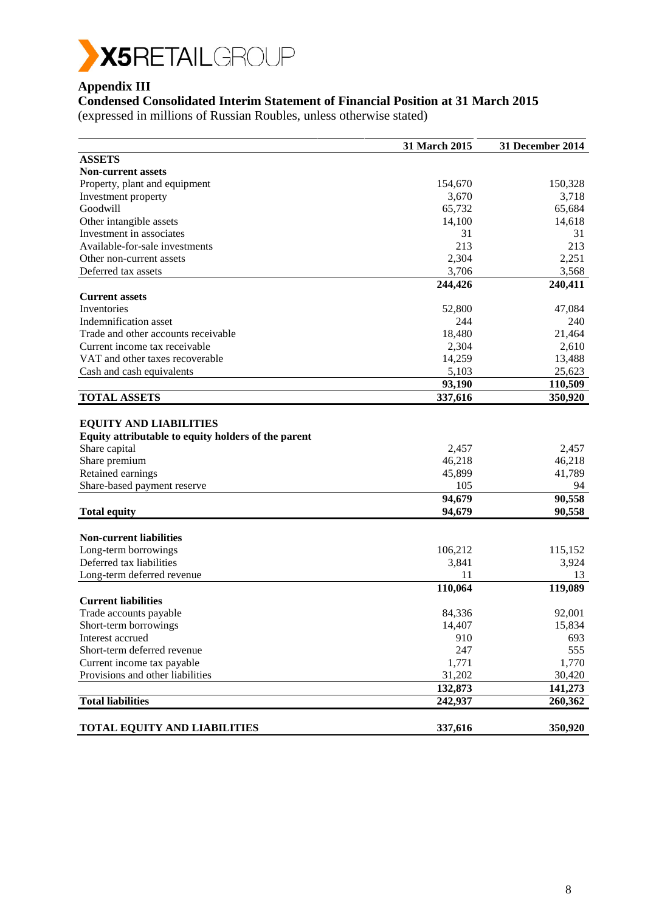

# **Appendix III**

# **Condensed Consolidated Interim Statement of Financial Position at 31 March 2015**

|                                                                                                                                                                            | 31 March 2015                              | 31 December 2014                          |
|----------------------------------------------------------------------------------------------------------------------------------------------------------------------------|--------------------------------------------|-------------------------------------------|
| <b>ASSETS</b>                                                                                                                                                              |                                            |                                           |
| <b>Non-current assets</b>                                                                                                                                                  |                                            |                                           |
| Property, plant and equipment                                                                                                                                              | 154,670                                    | 150,328                                   |
| Investment property                                                                                                                                                        | 3,670                                      | 3,718                                     |
| Goodwill                                                                                                                                                                   | 65,732                                     | 65,684                                    |
| Other intangible assets                                                                                                                                                    | 14,100                                     | 14,618                                    |
| Investment in associates                                                                                                                                                   | 31                                         | 31                                        |
| Available-for-sale investments                                                                                                                                             | 213                                        | 213                                       |
| Other non-current assets                                                                                                                                                   | 2,304                                      | 2,251                                     |
| Deferred tax assets                                                                                                                                                        | 3,706                                      | 3,568                                     |
|                                                                                                                                                                            | 244,426                                    | 240,411                                   |
| <b>Current assets</b>                                                                                                                                                      |                                            |                                           |
| Inventories                                                                                                                                                                | 52,800                                     | 47,084                                    |
| Indemnification asset                                                                                                                                                      | 244                                        | 240                                       |
| Trade and other accounts receivable                                                                                                                                        | 18,480                                     | 21,464                                    |
| Current income tax receivable                                                                                                                                              | 2,304                                      | 2,610                                     |
| VAT and other taxes recoverable                                                                                                                                            | 14,259                                     | 13,488                                    |
| Cash and cash equivalents                                                                                                                                                  | 5,103                                      | 25,623                                    |
|                                                                                                                                                                            | 93,190                                     | 110,509                                   |
| <b>TOTAL ASSETS</b>                                                                                                                                                        | 337,616                                    | 350,920                                   |
| <b>EQUITY AND LIABILITIES</b><br>Equity attributable to equity holders of the parent<br>Share capital<br>Share premium<br>Retained earnings<br>Share-based payment reserve | 2,457<br>46,218<br>45,899<br>105<br>94,679 | 2,457<br>46,218<br>41,789<br>94<br>90,558 |
| <b>Total equity</b>                                                                                                                                                        | 94,679                                     | 90,558                                    |
|                                                                                                                                                                            |                                            |                                           |
| <b>Non-current liabilities</b>                                                                                                                                             |                                            |                                           |
| Long-term borrowings                                                                                                                                                       | 106,212                                    | 115,152                                   |
| Deferred tax liabilities                                                                                                                                                   | 3,841                                      | 3,924                                     |
| Long-term deferred revenue                                                                                                                                                 | 11                                         | 13                                        |
|                                                                                                                                                                            | 110,064                                    | 119,089                                   |
| <b>Current liabilities</b>                                                                                                                                                 |                                            |                                           |
| Trade accounts payable                                                                                                                                                     | 84,336                                     | 92,001                                    |
| Short-term borrowings                                                                                                                                                      | 14,407                                     | 15,834                                    |
| Interest accrued                                                                                                                                                           | 910                                        | 693                                       |
| Short-term deferred revenue                                                                                                                                                | 247                                        | 555                                       |
| Current income tax payable                                                                                                                                                 | 1,771                                      | 1,770                                     |
| Provisions and other liabilities                                                                                                                                           | 31,202                                     | 30,420                                    |
|                                                                                                                                                                            | 132,873                                    | 141,273                                   |
| <b>Total liabilities</b>                                                                                                                                                   | 242,937                                    | 260,362                                   |
| TOTAL EQUITY AND LIABILITIES                                                                                                                                               | 337,616                                    | 350,920                                   |